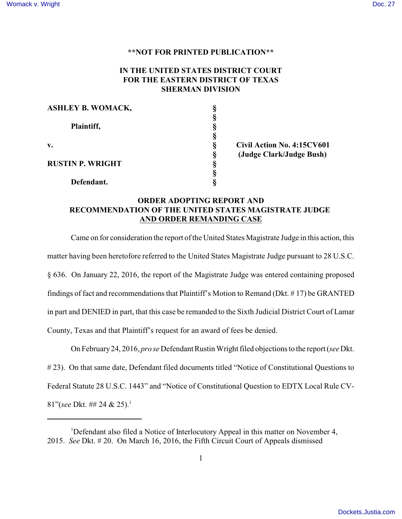## **\*\*NOT FOR PRINTED PUBLICATION\*\***

## **IN THE UNITED STATES DISTRICT COURT FOR THE EASTERN DISTRICT OF TEXAS SHERMAN DIVISION**

| <b>ASHLEY B. WOMACK,</b> |   |     |
|--------------------------|---|-----|
|                          |   |     |
| Plaintiff,               |   |     |
|                          |   |     |
| $\mathbf{v}$ .           |   | Civ |
|                          | O | (Ju |
| <b>RUSTIN P. WRIGHT</b>  |   |     |
|                          |   |     |
| Defendant.               |   |     |

**v. § Civil Action No. 4:15CV601 § (Judge Clark/Judge Bush)**

## **ORDER ADOPTING REPORT AND RECOMMENDATION OF THE UNITED STATES MAGISTRATE JUDGE AND ORDER REMANDING CASE**

Came on for consideration the report of the United States Magistrate Judge in this action, this matter having been heretofore referred to the United States Magistrate Judge pursuant to 28 U.S.C. § 636. On January 22, 2016, the report of the Magistrate Judge was entered containing proposed findings of fact and recommendations that Plaintiff's Motion to Remand (Dkt. # 17) be GRANTED in part and DENIED in part, that this case be remanded to the Sixth Judicial District Court of Lamar County, Texas and that Plaintiff's request for an award of fees be denied.

On February24, 2016, *pro se* Defendant Rustin Wright filed objections to the report (*see*Dkt. # 23). On that same date, Defendant filed documents titled "Notice of Constitutional Questions to Federal Statute 28 U.S.C. 1443" and "Notice of Constitutional Question to EDTX Local Rule CV-81"(*see* Dkt. ## 24 & 25).<sup>1</sup>

<sup>1</sup>Defendant also filed a Notice of Interlocutory Appeal in this matter on November 4, 2015. *See* Dkt. # 20. On March 16, 2016, the Fifth Circuit Court of Appeals dismissed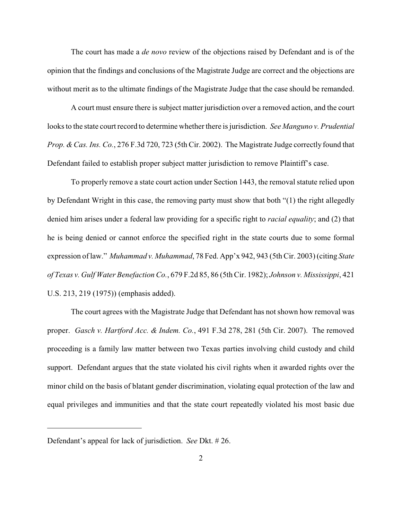The court has made a *de novo* review of the objections raised by Defendant and is of the opinion that the findings and conclusions of the Magistrate Judge are correct and the objections are without merit as to the ultimate findings of the Magistrate Judge that the case should be remanded.

A court must ensure there is subject matter jurisdiction over a removed action, and the court looks to the state court record to determine whether there is jurisdiction. *See Manguno v. Prudential Prop. &Cas. Ins. Co.*, 276 F.3d 720, 723 (5th Cir. 2002). The Magistrate Judge correctly found that Defendant failed to establish proper subject matter jurisdiction to remove Plaintiff's case.

To properly remove a state court action under Section 1443, the removal statute relied upon by Defendant Wright in this case, the removing party must show that both "(1) the right allegedly denied him arises under a federal law providing for a specific right to *racial equality*; and (2) that he is being denied or cannot enforce the specified right in the state courts due to some formal expression of law." *Muhammad v. Muhammad*, 78 Fed. App'x 942, 943 (5th Cir. 2003) (citing *State of Texas v. Gulf Water Benefaction Co.*, 679 F.2d 85, 86 (5th Cir. 1982); *Johnson v. Mississippi*, 421 U.S. 213, 219 (1975)) (emphasis added).

The court agrees with the Magistrate Judge that Defendant has not shown how removal was proper. *Gasch v. Hartford Acc. & Indem. Co.*, 491 F.3d 278, 281 (5th Cir. 2007). The removed proceeding is a family law matter between two Texas parties involving child custody and child support. Defendant argues that the state violated his civil rights when it awarded rights over the minor child on the basis of blatant gender discrimination, violating equal protection of the law and equal privileges and immunities and that the state court repeatedly violated his most basic due

Defendant's appeal for lack of jurisdiction. *See* Dkt. # 26.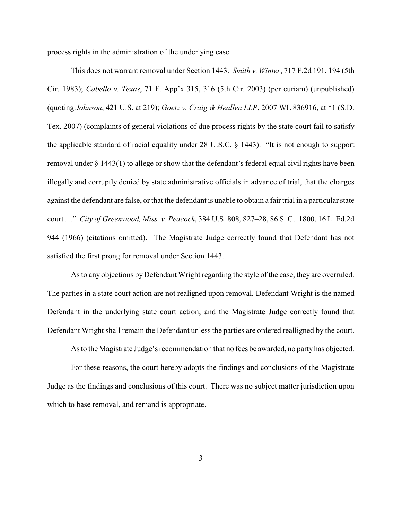process rights in the administration of the underlying case.

This does not warrant removal under Section 1443. *Smith v. Winter*, 717 F.2d 191, 194 (5th Cir. 1983); *Cabello v. Texas*, 71 F. App'x 315, 316 (5th Cir. 2003) (per curiam) (unpublished) (quoting *Johnson*, 421 U.S. at 219); *Goetz v. Craig & Heallen LLP*, 2007 WL 836916, at \*1 (S.D. Tex. 2007) (complaints of general violations of due process rights by the state court fail to satisfy the applicable standard of racial equality under 28 U.S.C. § 1443). "It is not enough to support removal under § 1443(1) to allege or show that the defendant's federal equal civil rights have been illegally and corruptly denied by state administrative officials in advance of trial, that the charges against the defendant are false, or that the defendant is unable to obtain a fair trial in a particular state court ...." *City of Greenwood, Miss. v. Peacock*, 384 U.S. 808, 827–28, 86 S. Ct. 1800, 16 L. Ed.2d 944 (1966) (citations omitted). The Magistrate Judge correctly found that Defendant has not satisfied the first prong for removal under Section 1443.

As to any objections by Defendant Wright regarding the style of the case, they are overruled. The parties in a state court action are not realigned upon removal, Defendant Wright is the named Defendant in the underlying state court action, and the Magistrate Judge correctly found that Defendant Wright shall remain the Defendant unless the parties are ordered realligned by the court.

As to the Magistrate Judge's recommendation that no fees be awarded, no party has objected.

For these reasons, the court hereby adopts the findings and conclusions of the Magistrate Judge as the findings and conclusions of this court. There was no subject matter jurisdiction upon which to base removal, and remand is appropriate.